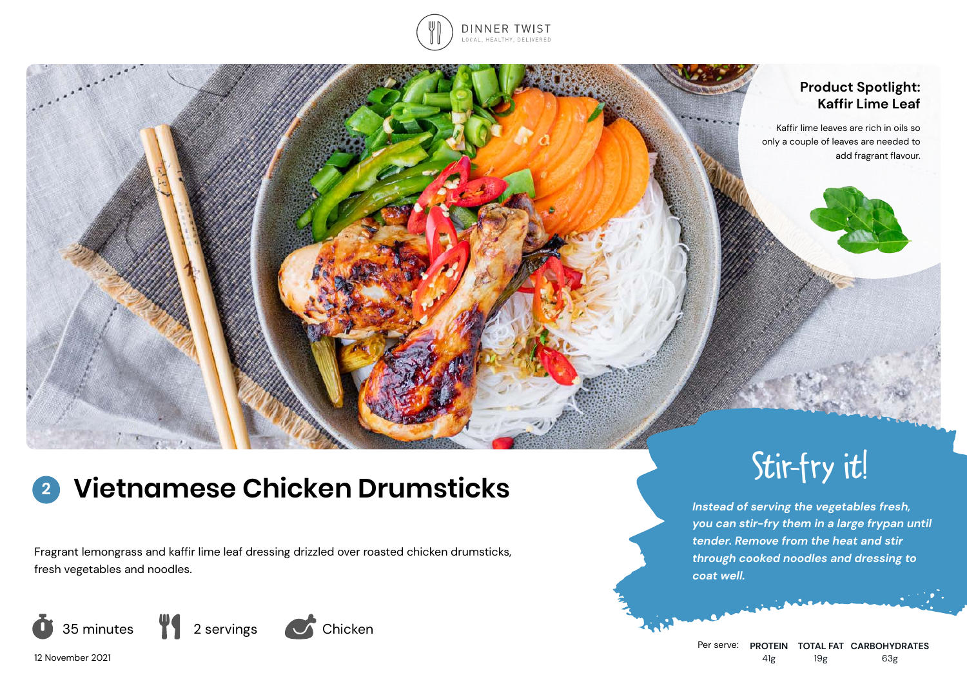

# **Product Spotlight: Kaffir Lime Leaf**

Kaffir lime leaves are rich in oils so only a couple of leaves are needed to add fragrant flavour.

#### **Vietnamese Chicken Drumsticks 2**

Fragrant lemongrass and kaffir lime leaf dressing drizzled over roasted chicken drumsticks, fresh vegetables and noodles.



 $\sum_{i=1}^{n}$ 

Stir-fry it!

*Instead of serving the vegetables fresh, you can stir-fry them in a large frypan until tender. Remove from the heat and stir through cooked noodles and dressing to coat well.*

12 November 2021